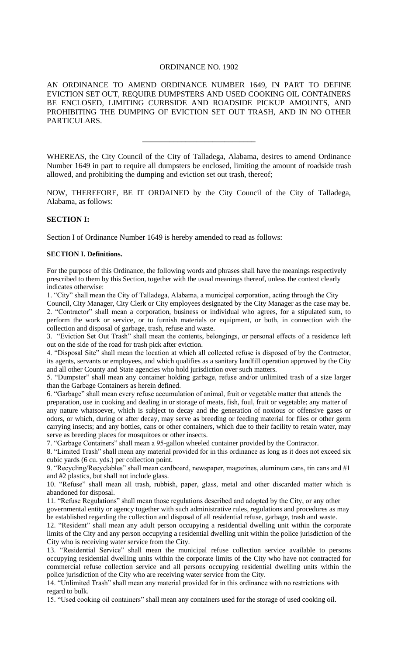## ORDINANCE NO. 1902

AN ORDINANCE TO AMEND ORDINANCE NUMBER 1649, IN PART TO DEFINE EVICTION SET OUT, REQUIRE DUMPSTERS AND USED COOKING OIL CONTAINERS BE ENCLOSED, LIMITING CURBSIDE AND ROADSIDE PICKUP AMOUNTS, AND PROHIBITING THE DUMPING OF EVICTION SET OUT TRASH, AND IN NO OTHER PARTICULARS.

WHEREAS, the City Council of the City of Talladega, Alabama, desires to amend Ordinance Number 1649 in part to require all dumpsters be enclosed, limiting the amount of roadside trash allowed, and prohibiting the dumping and eviction set out trash, thereof;

\_\_\_\_\_\_\_\_\_\_\_\_\_\_\_\_\_\_\_\_\_\_\_\_\_\_\_\_\_

NOW, THEREFORE, BE IT ORDAINED by the City Council of the City of Talladega, Alabama, as follows:

# **SECTION I:**

Section I of Ordinance Number 1649 is hereby amended to read as follows:

### **SECTION I. Definitions.**

For the purpose of this Ordinance, the following words and phrases shall have the meanings respectively prescribed to them by this Section, together with the usual meanings thereof, unless the context clearly indicates otherwise:

1. "City" shall mean the City of Talladega, Alabama, a municipal corporation, acting through the City Council, City Manager, City Clerk or City employees designated by the City Manager as the case may be. 2. "Contractor" shall mean a corporation, business or individual who agrees, for a stipulated sum, to perform the work or service, or to furnish materials or equipment, or both, in connection with the collection and disposal of garbage, trash, refuse and waste.

3. "Eviction Set Out Trash" shall mean the contents, belongings, or personal effects of a residence left out on the side of the road for trash pick after eviction.

4. "Disposal Site" shall mean the location at which all collected refuse is disposed of by the Contractor, its agents, servants or employees, and which qualifies as a sanitary landfill operation approved by the City and all other County and State agencies who hold jurisdiction over such matters.

5. "Dumpster" shall mean any container holding garbage, refuse and/or unlimited trash of a size larger than the Garbage Containers as herein defined.

6. "Garbage" shall mean every refuse accumulation of animal, fruit or vegetable matter that attends the preparation, use in cooking and dealing in or storage of meats, fish, foul, fruit or vegetable; any matter of any nature whatsoever, which is subject to decay and the generation of noxious or offensive gases or odors, or which, during or after decay, may serve as breeding or feeding material for flies or other germ carrying insects; and any bottles, cans or other containers, which due to their facility to retain water, may serve as breeding places for mosquitoes or other insects.

7. "Garbage Containers" shall mean a 95-gallon wheeled container provided by the Contractor.

8. "Limited Trash" shall mean any material provided for in this ordinance as long as it does not exceed six cubic yards (6 cu. yds.) per collection point.

9. "Recycling/Recyclables" shall mean cardboard, newspaper, magazines, aluminum cans, tin cans and #1 and #2 plastics, but shall not include glass.

10. "Refuse" shall mean all trash, rubbish, paper, glass, metal and other discarded matter which is abandoned for disposal.

11. "Refuse Regulations" shall mean those regulations described and adopted by the City, or any other governmental entity or agency together with such administrative rules, regulations and procedures as may be established regarding the collection and disposal of all residential refuse, garbage, trash and waste.

12. "Resident" shall mean any adult person occupying a residential dwelling unit within the corporate limits of the City and any person occupying a residential dwelling unit within the police jurisdiction of the City who is receiving water service from the City.

13. "Residential Service" shall mean the municipal refuse collection service available to persons occupying residential dwelling units within the corporate limits of the City who have not contracted for commercial refuse collection service and all persons occupying residential dwelling units within the police jurisdiction of the City who are receiving water service from the City.

14. "Unlimited Trash" shall mean any material provided for in this ordinance with no restrictions with regard to bulk.

15. "Used cooking oil containers" shall mean any containers used for the storage of used cooking oil.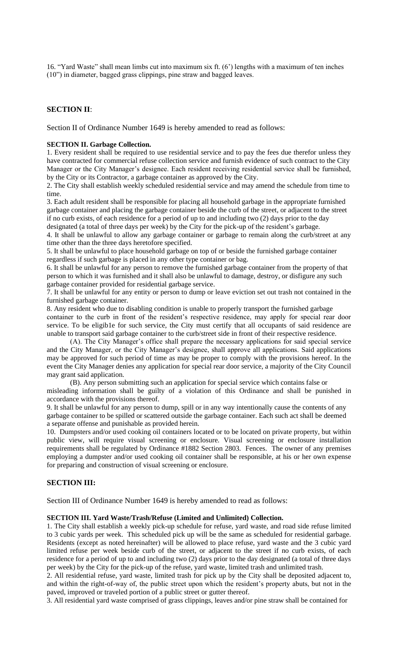16. "Yard Waste" shall mean limbs cut into maximum six ft. (6') lengths with a maximum of ten inches (10") in diameter, bagged grass clippings, pine straw and bagged leaves.

# **SECTION II**:

Section II of Ordinance Number 1649 is hereby amended to read as follows:

#### **SECTION II. Garbage Collection.**

1. Every resident shall be required to use residential service and to pay the fees due therefor unless they have contracted for commercial refuse collection service and furnish evidence of such contract to the City Manager or the City Manager's designee. Each resident receiving residential service shall be furnished, by the City or its Contractor, a garbage container as approved by the City.

2. The City shall establish weekly scheduled residential service and may amend the schedule from time to time.

3. Each adult resident shall be responsible for placing all household garbage in the appropriate furnished garbage container and placing the garbage container beside the curb of the street, or adjacent to the street if no curb exists, of each residence for a period of up to and including two (2) days prior to the day designated (a total of three days per week) by the City for the pick-up of the resident's garbage.

4. It shall be unlawful to allow any garbage container or garbage to remain along the curb/street at any time other than the three days heretofore specified.

5. It shall be unlawful to place household garbage on top of or beside the furnished garbage container regardless if such garbage is placed in any other type container or bag.

6. It shall be unlawful for any person to remove the furnished garbage container from the property of that person to which it was furnished and it shall also be unlawful to damage, destroy, or disfigure any such garbage container provided for residential garbage service.

7. It shall be unlawful for any entity or person to dump or leave eviction set out trash not contained in the furnished garbage container.

8. Any resident who due to disabling condition is unable to properly transport the furnished garbage container to the curb in front of the resident's respective residence, may apply for special rear door service. To be eligib1e for such service, the City must certify that all occupants of said residence are unable to transport said garbage container to the curb/street side in front of their respective residence.

(A). The City Manager's office shall prepare the necessary applications for said special service and the City Manager, or the City Manager's designee, shall approve all applications. Said applications may be approved for such period of time as may be proper to comply with the provisions hereof. In the event the City Manager denies any application for special rear door service, a majority of the City Council may grant said application.

(B). Any person submitting such an application for special service which contains false or misleading information shall be guilty of a violation of this Ordinance and shall be punished in accordance with the provisions thereof.

9. It shall be unlawful for any person to dump, spill or in any way intentionally cause the contents of any garbage container to be spilled or scattered outside the garbage container. Each such act shall be deemed a separate offense and punishable as provided herein.

10. Dumpsters and/or used cooking oil containers located or to be located on private property, but within public view, will require visual screening or enclosure. Visual screening or enclosure installation requirements shall be regulated by Ordinance #1882 Section 2803. Fences. The owner of any premises employing a dumpster and/or used cooking oil container shall be responsible, at his or her own expense for preparing and construction of visual screening or enclosure.

### **SECTION III:**

Section III of Ordinance Number 1649 is hereby amended to read as follows:

#### **SECTION III. Yard Waste/Trash/Refuse (Limited and Unlimited) Collection.**

1. The City shall establish a weekly pick-up schedule for refuse, yard waste, and road side refuse limited to 3 cubic yards per week. This scheduled pick up will be the same as scheduled for residential garbage. Residents (except as noted hereinafter) will be allowed to place refuse, yard waste and the 3 cubic yard limited refuse per week beside curb of the street, or adjacent to the street if no curb exists, of each residence for a period of up to and including two (2) days prior to the day designated (a total of three days per week) by the City for the pick-up of the refuse, yard waste, limited trash and unlimited trash.

2. All residential refuse, yard waste, limited trash for pick up by the City shall be deposited adjacent to, and within the right-of-way of, the public street upon which the resident's property abuts, but not in the paved, improved or traveled portion of a public street or gutter thereof.

3. All residential yard waste comprised of grass clippings, leaves and/or pine straw shall be contained for